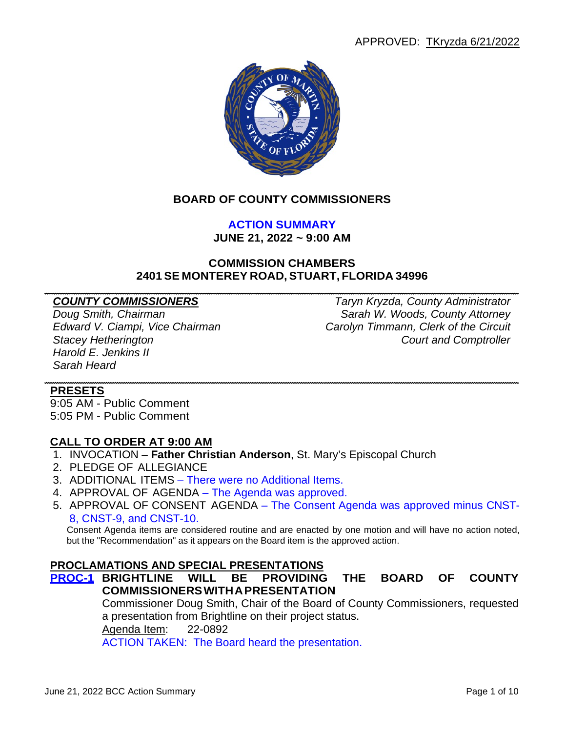

# **BOARD OF COUNTY COMMISSIONERS**

**ACTION SUMMARY JUNE 21, 2022 ~ 9:00 AM**

# **COMMISSION CHAMBERS 2401 SE MONTEREY ROAD, STUART, FLORIDA 34996**

*Harold E. Jenkins II Sarah Heard*

*COUNTY COMMISSIONERS Taryn Kryzda, County Administrator Doug Smith, Chairman Sarah W. Woods, County Attorney Edward V. Ciampi, Vice Chairman Carolyn Timmann, Clerk of the Circuit Stacey Hetherington Court and Comptroller*

#### **PRESETS**

9:05 AM - Public Comment 5:05 PM - Public Comment

#### **CALL TO ORDER AT 9:00 AM**

- 1. INVOCATION **Father Christian Anderson**, St. Mary's Episcopal Church
- 2. PLEDGE OF ALLEGIANCE
- 3. ADDITIONAL ITEMS There were no Additional Items.
- 4. APPROVAL OF AGENDA The Agenda was approved.
- 5. APPROVAL OF CONSENT AGENDA The Consent Agenda was approved minus CNST-8, CNST-9, and CNST-10.

Consent Agenda items are considered routine and are enacted by one motion and will have no action noted, but the "Recommendation" as it appears on the Board item is the approved action.

#### **PROCLAMATIONS AND SPECIAL PRESENTATIONS**

**PROC-1 BRIGHTLINE WILL BE PROVIDING THE BOARD OF COUNTY COMMISSIONERSWITHAPRESENTATION**

> Commissioner Doug Smith, Chair of the Board of County Commissioners, requested a presentation from Brightline on their project status.

Agenda Item: 22-0892

ACTION TAKEN: The Board heard the presentation.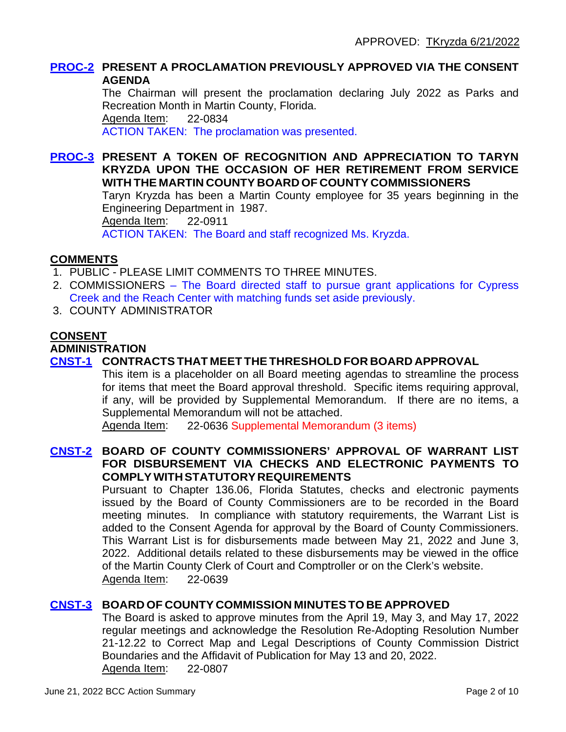#### **PROC-2 PRESENT A PROCLAMATION PREVIOUSLY APPROVED VIA THE CONSENT AGENDA**

The Chairman will present the proclamation declaring July 2022 as Parks and Recreation Month in Martin County, Florida. Agenda Item: 22-0834 ACTION TAKEN: The proclamation was presented.

**PROC-3 PRESENT A TOKEN OF RECOGNITION AND APPRECIATION TO TARYN KRYZDA UPON THE OCCASION OF HER RETIREMENT FROM SERVICE WITH THE MARTIN COUNTY BOARD OF COUNTY COMMISSIONERS** Taryn Kryzda has been a Martin County employee for 35 years beginning in the Engineering Department in 1987. Agenda Item: 22-0911 ACTION TAKEN: The Board and staff recognized Ms. Kryzda.

# **COMMENTS**

- 1. PUBLIC PLEASE LIMIT COMMENTS TO THREE MINUTES.
- 2. COMMISSIONERS The Board directed staff to pursue grant applications for Cypress Creek and the Reach Center with matching funds set aside previously.
- 3. COUNTY ADMINISTRATOR

# **CONSENT**

#### **ADMINISTRATION**

# **CNST-1 CONTRACTSTHAT MEET THETHRESHOLD FOR BOARD APPROVAL**

This item is a placeholder on all Board meeting agendas to streamline the process for items that meet the Board approval threshold. Specific items requiring approval, if any, will be provided by Supplemental Memorandum. If there are no items, a Supplemental Memorandum will not be attached.

Agenda Item: 22-0636 Supplemental Memorandum (3 items)

# **CNST-2 BOARD OF COUNTY COMMISSIONERS' APPROVAL OF WARRANT LIST FOR DISBURSEMENT VIA CHECKS AND ELECTRONIC PAYMENTS TO COMPLYWITHSTATUTORYREQUIREMENTS**

Pursuant to Chapter 136.06, Florida Statutes, checks and electronic payments issued by the Board of County Commissioners are to be recorded in the Board meeting minutes. In compliance with statutory requirements, the Warrant List is added to the Consent Agenda for approval by the Board of County Commissioners. This Warrant List is for disbursements made between May 21, 2022 and June 3, 2022. Additional details related to these disbursements may be viewed in the office of the Martin County Clerk of Court and Comptroller or on the Clerk's website. Agenda Item: 22-0639

# **CNST-3 BOARD OF COUNTY COMMISSION MINUTESTO BE APPROVED**

The Board is asked to approve minutes from the April 19, May 3, and May 17, 2022 regular meetings and acknowledge the Resolution Re-Adopting Resolution Number 21-12.22 to Correct Map and Legal Descriptions of County Commission District Boundaries and the Affidavit of Publication for May 13 and 20, 2022. Agenda Item: 22-0807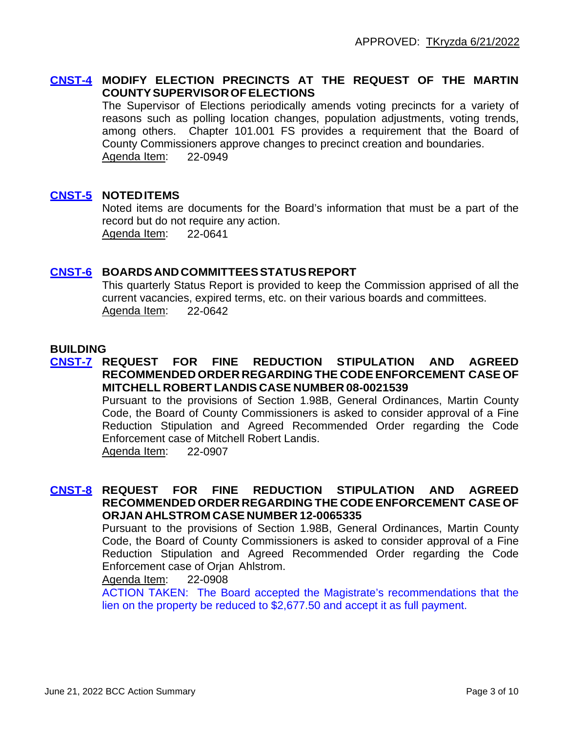# **CNST-4 MODIFY ELECTION PRECINCTS AT THE REQUEST OF THE MARTIN COUNTYSUPERVISOROFELECTIONS**

The Supervisor of Elections periodically amends voting precincts for a variety of reasons such as polling location changes, population adjustments, voting trends, among others. Chapter 101.001 FS provides a requirement that the Board of County Commissioners approve changes to precinct creation and boundaries. Agenda Item: 22-0949

# **CNST-5 NOTEDITEMS**

Noted items are documents for the Board's information that must be a part of the record but do not require any action. Agenda Item: 22-0641

#### **CNST-6 BOARDS ANDCOMMITTEESSTATUSREPORT**

This quarterly Status Report is provided to keep the Commission apprised of all the current vacancies, expired terms, etc. on their various boards and committees. Agenda Item: 22-0642

#### **BUILDING**

#### **CNST-7 REQUEST FOR FINE REDUCTION STIPULATION AND AGREED RECOMMENDED ORDER REGARDING THE CODE ENFORCEMENT CASE OF MITCHELL ROBERT LANDIS CASE NUMBER 08-0021539**

Pursuant to the provisions of Section 1.98B, General Ordinances, Martin County Code, the Board of County Commissioners is asked to consider approval of a Fine Reduction Stipulation and Agreed Recommended Order regarding the Code Enforcement case of Mitchell Robert Landis.

Agenda Item: 22-0907

#### **CNST-8 REQUEST FOR FINE REDUCTION STIPULATION AND AGREED RECOMMENDED ORDER REGARDING THE CODE ENFORCEMENT CASE OF ORJAN AHLSTROM CASE NUMBER 12-0065335**

Pursuant to the provisions of Section 1.98B, General Ordinances, Martin County Code, the Board of County Commissioners is asked to consider approval of a Fine Reduction Stipulation and Agreed Recommended Order regarding the Code Enforcement case of Orjan Ahlstrom.

#### Agenda Item: 22-0908

ACTION TAKEN: The Board accepted the Magistrate's recommendations that the lien on the property be reduced to \$2,677.50 and accept it as full payment.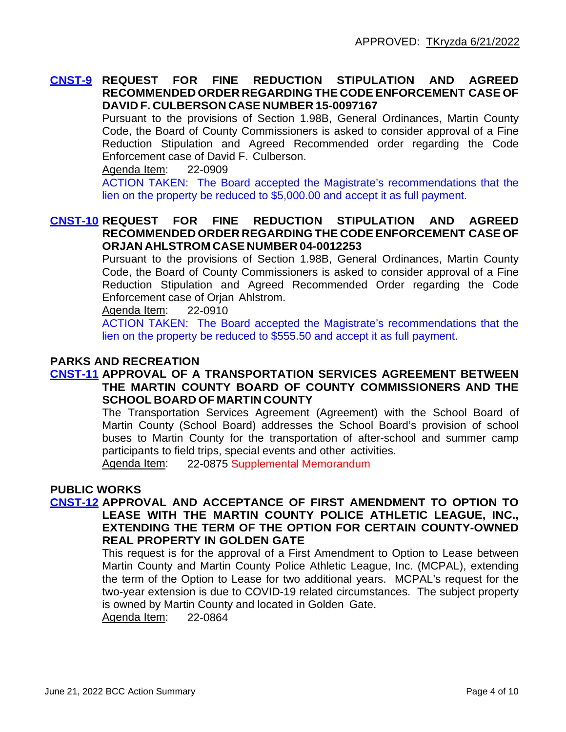#### **CNST-9 REQUEST FOR FINE REDUCTION STIPULATION AND AGREED RECOMMENDED ORDER REGARDING THE CODE ENFORCEMENT CASE OF DAVID F. CULBERSON CASE NUMBER 15-0097167**

Pursuant to the provisions of Section 1.98B, General Ordinances, Martin County Code, the Board of County Commissioners is asked to consider approval of a Fine Reduction Stipulation and Agreed Recommended order regarding the Code Enforcement case of David F. Culberson.

Agenda Item: 22-0909

ACTION TAKEN: The Board accepted the Magistrate's recommendations that the lien on the property be reduced to \$5,000.00 and accept it as full payment.

## **CNST-10 REQUEST FOR FINE REDUCTION STIPULATION AND AGREED RECOMMENDED ORDER REGARDING THE CODE ENFORCEMENT CASE OF ORJAN AHLSTROM CASE NUMBER 04-0012253**

Pursuant to the provisions of Section 1.98B, General Ordinances, Martin County Code, the Board of County Commissioners is asked to consider approval of a Fine Reduction Stipulation and Agreed Recommended Order regarding the Code Enforcement case of Orjan Ahlstrom.

Agenda Item: 22-0910

ACTION TAKEN: The Board accepted the Magistrate's recommendations that the lien on the property be reduced to \$555.50 and accept it as full payment.

# **PARKS AND RECREATION**

#### **CNST-11 APPROVAL OF A TRANSPORTATION SERVICES AGREEMENT BETWEEN THE MARTIN COUNTY BOARD OF COUNTY COMMISSIONERS AND THE SCHOOL BOARD OF MARTIN COUNTY**

The Transportation Services Agreement (Agreement) with the School Board of Martin County (School Board) addresses the School Board's provision of school buses to Martin County for the transportation of after-school and summer camp participants to field trips, special events and other activities.

Agenda Item: 22-0875 Supplemental Memorandum

## **PUBLIC WORKS**

## **CNST-12 APPROVAL AND ACCEPTANCE OF FIRST AMENDMENT TO OPTION TO LEASE WITH THE MARTIN COUNTY POLICE ATHLETIC LEAGUE, INC., EXTENDING THE TERM OF THE OPTION FOR CERTAIN COUNTY-OWNED REAL PROPERTY IN GOLDEN GATE**

This request is for the approval of a First Amendment to Option to Lease between Martin County and Martin County Police Athletic League, Inc. (MCPAL), extending the term of the Option to Lease for two additional years. MCPAL's request for the two-year extension is due to COVID-19 related circumstances. The subject property is owned by Martin County and located in Golden Gate.

Agenda Item: 22-0864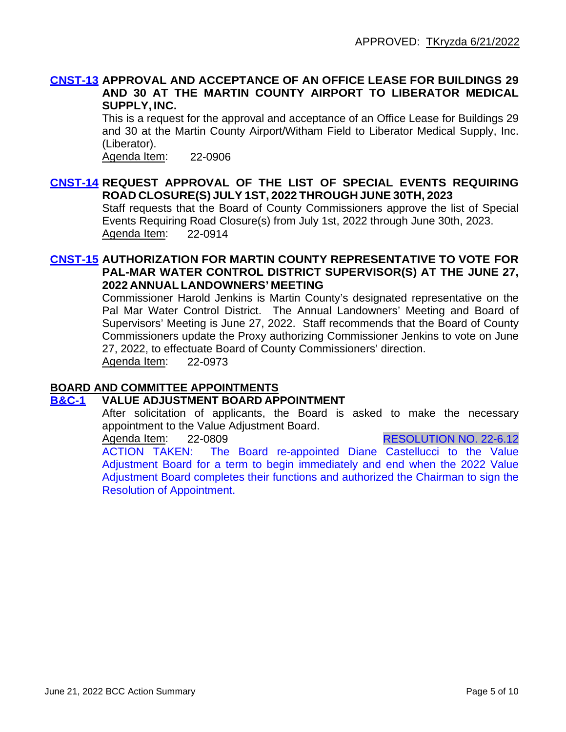#### **CNST-13 APPROVAL AND ACCEPTANCE OF AN OFFICE LEASE FOR BUILDINGS 29 AND 30 AT THE MARTIN COUNTY AIRPORT TO LIBERATOR MEDICAL SUPPLY, INC.**

This is a request for the approval and acceptance of an Office Lease for Buildings 29 and 30 at the Martin County Airport/Witham Field to Liberator Medical Supply, Inc. (Liberator).

Agenda Item: 22-0906

## **CNST-14 REQUEST APPROVAL OF THE LIST OF SPECIAL EVENTS REQUIRING ROAD CLOSURE(S) JULY 1ST, 2022 THROUGH JUNE 30TH, 2023**

Staff requests that the Board of County Commissioners approve the list of Special Events Requiring Road Closure(s) from July 1st, 2022 through June 30th, 2023. Agenda Item: 22-0914

## **CNST-15 AUTHORIZATION FOR MARTIN COUNTY REPRESENTATIVE TO VOTE FOR PAL-MAR WATER CONTROL DISTRICT SUPERVISOR(S) AT THE JUNE 27, 2022 ANNUAL LANDOWNERS' MEETING**

Commissioner Harold Jenkins is Martin County's designated representative on the Pal Mar Water Control District. The Annual Landowners' Meeting and Board of Supervisors' Meeting is June 27, 2022. Staff recommends that the Board of County Commissioners update the Proxy authorizing Commissioner Jenkins to vote on June 27, 2022, to effectuate Board of County Commissioners' direction. Agenda Item: 22-0973

#### **BOARD AND COMMITTEE APPOINTMENTS**

#### **B&C-1 VALUE ADJUSTMENT BOARD APPOINTMENT**

After solicitation of applicants, the Board is asked to make the necessary appointment to the Value Adjustment Board.<br>Agenda Item: 22-0809

22-0809 RESOLUTION NO. 22-6.12

ACTION TAKEN: The Board re-appointed Diane Castellucci to the Value Adjustment Board for a term to begin immediately and end when the 2022 Value Adjustment Board completes their functions and authorized the Chairman to sign the Resolution of Appointment.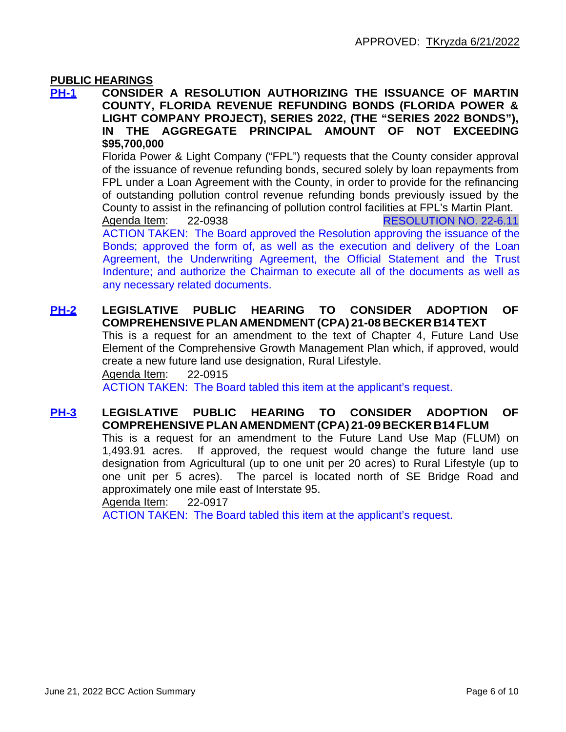## **PUBLIC HEARINGS**

**PH-1 CONSIDER A RESOLUTION AUTHORIZING THE ISSUANCE OF MARTIN COUNTY, FLORIDA REVENUE REFUNDING BONDS (FLORIDA POWER & LIGHT COMPANY PROJECT), SERIES 2022, (THE "SERIES 2022 BONDS"), IN THE AGGREGATE PRINCIPAL AMOUNT OF NOT EXCEEDING \$95,700,000**

> Florida Power & Light Company ("FPL") requests that the County consider approval of the issuance of revenue refunding bonds, secured solely by loan repayments from FPL under a Loan Agreement with the County, in order to provide for the refinancing of outstanding pollution control revenue refunding bonds previously issued by the County to assist in the refinancing of pollution control facilities at FPL's Martin Plant.

> Agenda Item: 22-0938 RESOLUTION NO. 22-6.11 ACTION TAKEN: The Board approved the Resolution approving the issuance of the Bonds; approved the form of, as well as the execution and delivery of the Loan Agreement, the Underwriting Agreement, the Official Statement and the Trust Indenture; and authorize the Chairman to execute all of the documents as well as any necessary related documents.

# **PH-2 LEGISLATIVE PUBLIC HEARING TO CONSIDER ADOPTION OF COMPREHENSIVEPLAN AMENDMENT (CPA) 21-08 BECKER B14 TEXT**

This is a request for an amendment to the text of Chapter 4, Future Land Use Element of the Comprehensive Growth Management Plan which, if approved, would create a new future land use designation, Rural Lifestyle.

Agenda Item: 22-0915

ACTION TAKEN: The Board tabled this item at the applicant's request.

# **PH-3 LEGISLATIVE PUBLIC HEARING TO CONSIDER ADOPTION OF COMPREHENSIVEPLAN AMENDMENT (CPA) 21-09 BECKER B14 FLUM**

This is a request for an amendment to the Future Land Use Map (FLUM) on 1,493.91 acres. If approved, the request would change the future land use designation from Agricultural (up to one unit per 20 acres) to Rural Lifestyle (up to one unit per 5 acres). The parcel is located north of SE Bridge Road and approximately one mile east of Interstate 95.

#### Agenda Item: 22-0917

ACTION TAKEN: The Board tabled this item at the applicant's request.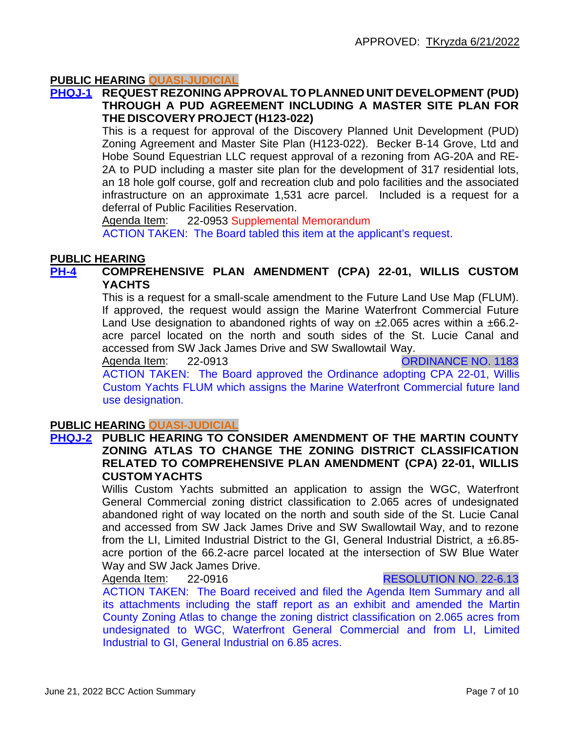# **PUBLIC HEARING QUASI-JUDICIAL**

#### **PHQJ-1 REQUEST REZONING APPROVAL TO PLANNED UNIT DEVELOPMENT (PUD) THROUGH A PUD AGREEMENT INCLUDING A MASTER SITE PLAN FOR THE DISCOVERY PROJECT (H123-022)**

This is a request for approval of the Discovery Planned Unit Development (PUD) Zoning Agreement and Master Site Plan (H123-022). Becker B-14 Grove, Ltd and Hobe Sound Equestrian LLC request approval of a rezoning from AG-20A and RE-2A to PUD including a master site plan for the development of 317 residential lots, an 18 hole golf course, golf and recreation club and polo facilities and the associated infrastructure on an approximate 1,531 acre parcel. Included is a request for a deferral of Public Facilities Reservation.

Agenda Item: 22-0953 Supplemental Memorandum ACTION TAKEN: The Board tabled this item at the applicant's request.

#### **PUBLIC HEARING**

#### **PH-4 COMPREHENSIVE PLAN AMENDMENT (CPA) 22-01, WILLIS CUSTOM YACHTS**

This is a request for a small-scale amendment to the Future Land Use Map (FLUM). If approved, the request would assign the Marine Waterfront Commercial Future Land Use designation to abandoned rights of way on  $\pm 2.065$  acres within a  $\pm 66.2$ acre parcel located on the north and south sides of the St. Lucie Canal and accessed from SW Jack James Drive and SW Swallowtail Way.

Agenda Item: 22-0913 CRONAGE NO. 1183

ACTION TAKEN: The Board approved the Ordinance adopting CPA 22-01, Willis Custom Yachts FLUM which assigns the Marine Waterfront Commercial future land use designation.

#### **PUBLIC HEARING QUASI-JUDICIAL**

#### **PHQJ-2 PUBLIC HEARING TO CONSIDER AMENDMENT OF THE MARTIN COUNTY ZONING ATLAS TO CHANGE THE ZONING DISTRICT CLASSIFICATION RELATED TO COMPREHENSIVE PLAN AMENDMENT (CPA) 22-01, WILLIS CUSTOM YACHTS**

Willis Custom Yachts submitted an application to assign the WGC, Waterfront General Commercial zoning district classification to 2.065 acres of undesignated abandoned right of way located on the north and south side of the St. Lucie Canal and accessed from SW Jack James Drive and SW Swallowtail Way, and to rezone from the LI, Limited Industrial District to the GI, General Industrial District, a ±6.85 acre portion of the 66.2-acre parcel located at the intersection of SW Blue Water Way and SW Jack James Drive.

#### Agenda Item: 22-0916 RESOLUTION NO. 22-6.13

ACTION TAKEN: The Board received and filed the Agenda Item Summary and all its attachments including the staff report as an exhibit and amended the Martin County Zoning Atlas to change the zoning district classification on 2.065 acres from undesignated to WGC, Waterfront General Commercial and from LI, Limited Industrial to GI, General Industrial on 6.85 acres.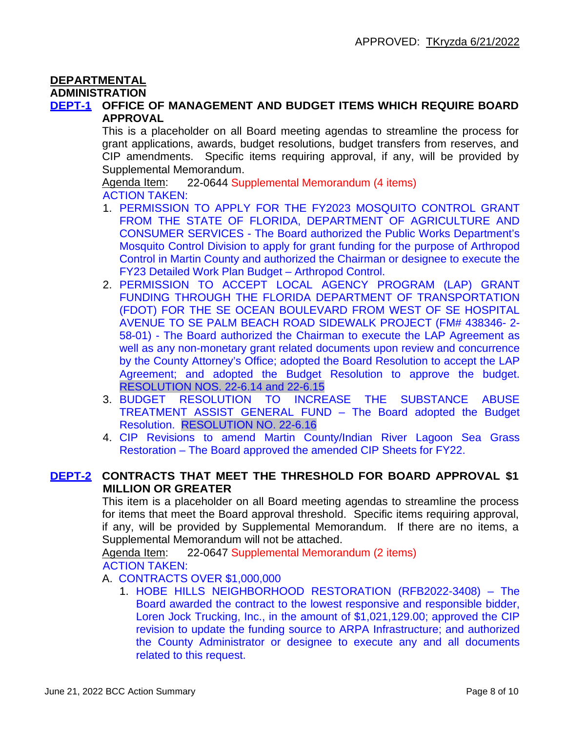# **DEPARTMENTAL**

#### **ADMINISTRATION**

#### **DEPT-1 OFFICE OF MANAGEMENT AND BUDGET ITEMS WHICH REQUIRE BOARD APPROVAL**

This is a placeholder on all Board meeting agendas to streamline the process for grant applications, awards, budget resolutions, budget transfers from reserves, and CIP amendments. Specific items requiring approval, if any, will be provided by Supplemental Memorandum.

Agenda Item: 22-0644 Supplemental Memorandum (4 items) ACTION TAKEN:

- 1. PERMISSION TO APPLY FOR THE FY2023 MOSQUITO CONTROL GRANT FROM THE STATE OF FLORIDA, DEPARTMENT OF AGRICULTURE AND CONSUMER SERVICES - The Board authorized the Public Works Department's Mosquito Control Division to apply for grant funding for the purpose of Arthropod Control in Martin County and authorized the Chairman or designee to execute the FY23 Detailed Work Plan Budget – Arthropod Control.
- 2. PERMISSION TO ACCEPT LOCAL AGENCY PROGRAM (LAP) GRANT FUNDING THROUGH THE FLORIDA DEPARTMENT OF TRANSPORTATION (FDOT) FOR THE SE OCEAN BOULEVARD FROM WEST OF SE HOSPITAL AVENUE TO SE PALM BEACH ROAD SIDEWALK PROJECT (FM# 438346- 2- 58-01) - The Board authorized the Chairman to execute the LAP Agreement as well as any non-monetary grant related documents upon review and concurrence by the County Attorney's Office; adopted the Board Resolution to accept the LAP Agreement; and adopted the Budget Resolution to approve the budget. RESOLUTION NOS. 22-6.14 and 22-6.15
- 3. BUDGET RESOLUTION TO INCREASE THE SUBSTANCE ABUSE TREATMENT ASSIST GENERAL FUND – The Board adopted the Budget Resolution. RESOLUTION NO. 22-6.16
- 4. CIP Revisions to amend Martin County/Indian River Lagoon Sea Grass Restoration – The Board approved the amended CIP Sheets for FY22.

# **DEPT-2 CONTRACTS THAT MEET THE THRESHOLD FOR BOARD APPROVAL \$1 MILLION OR GREATER**

This item is a placeholder on all Board meeting agendas to streamline the process for items that meet the Board approval threshold. Specific items requiring approval, if any, will be provided by Supplemental Memorandum. If there are no items, a Supplemental Memorandum will not be attached.

Agenda Item: 22-0647 Supplemental Memorandum (2 items) ACTION TAKEN:

A. CONTRACTS OVER \$1,000,000

1. HOBE HILLS NEIGHBORHOOD RESTORATION (RFB2022-3408) – The Board awarded the contract to the lowest responsive and responsible bidder, Loren Jock Trucking, Inc., in the amount of \$1,021,129.00; approved the CIP revision to update the funding source to ARPA Infrastructure; and authorized the County Administrator or designee to execute any and all documents related to this request.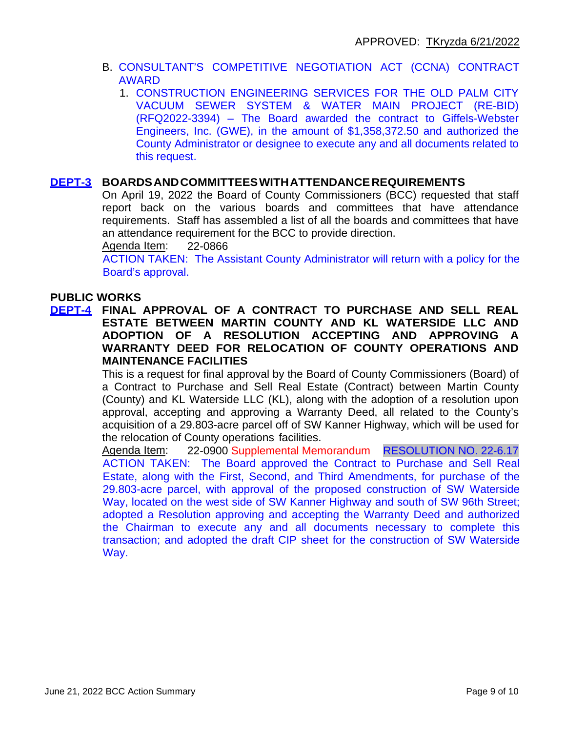- B. CONSULTANT'S COMPETITIVE NEGOTIATION ACT (CCNA) CONTRACT AWARD
	- 1. CONSTRUCTION ENGINEERING SERVICES FOR THE OLD PALM CITY VACUUM SEWER SYSTEM & WATER MAIN PROJECT (RE-BID) (RFQ2022-3394) – The Board awarded the contract to Giffels-Webster Engineers, Inc. (GWE), in the amount of \$1,358,372.50 and authorized the County Administrator or designee to execute any and all documents related to this request.

#### **DEPT-3 BOARDSANDCOMMITTEESWITHATTENDANCEREQUIREMENTS**

On April 19, 2022 the Board of County Commissioners (BCC) requested that staff report back on the various boards and committees that have attendance requirements. Staff has assembled a list of all the boards and committees that have an attendance requirement for the BCC to provide direction.

Agenda Item: 22-0866

ACTION TAKEN: The Assistant County Administrator will return with a policy for the Board's approval.

## **PUBLIC WORKS**

**DEPT-4 FINAL APPROVAL OF A CONTRACT TO PURCHASE AND SELL REAL ESTATE BETWEEN MARTIN COUNTY AND KL WATERSIDE LLC AND ADOPTION OF A RESOLUTION ACCEPTING AND APPROVING A WARRANTY DEED FOR RELOCATION OF COUNTY OPERATIONS AND MAINTENANCE FACILITIES**

> This is a request for final approval by the Board of County Commissioners (Board) of a Contract to Purchase and Sell Real Estate (Contract) between Martin County (County) and KL Waterside LLC (KL), along with the adoption of a resolution upon approval, accepting and approving a Warranty Deed, all related to the County's acquisition of a 29.803-acre parcel off of SW Kanner Highway, which will be used for the relocation of County operations facilities.

> Agenda Item: 22-0900 Supplemental Memorandum RESOLUTION NO. 22-6.17 ACTION TAKEN: The Board approved the Contract to Purchase and Sell Real Estate, along with the First, Second, and Third Amendments, for purchase of the 29.803-acre parcel, with approval of the proposed construction of SW Waterside Way, located on the west side of SW Kanner Highway and south of SW 96th Street; adopted a Resolution approving and accepting the Warranty Deed and authorized the Chairman to execute any and all documents necessary to complete this transaction; and adopted the draft CIP sheet for the construction of SW Waterside Way.